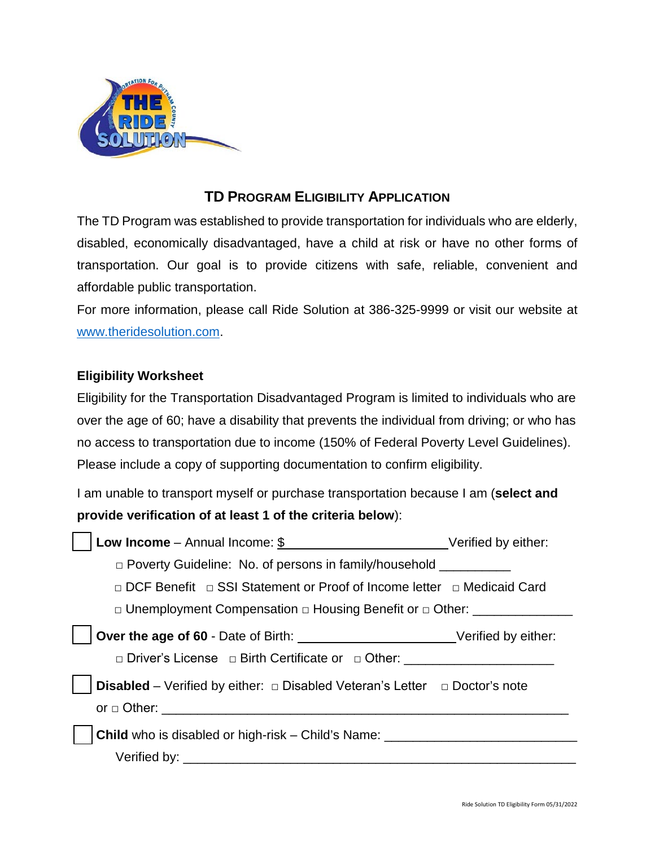

## **TD PROGRAM ELIGIBILITY APPLICATION**

The TD Program was established to provide transportation for individuals who are elderly, disabled, economically disadvantaged, have a child at risk or have no other forms of transportation. Our goal is to provide citizens with safe, reliable, convenient and affordable public transportation.

For more information, please call Ride Solution at 386-325-9999 or visit our website at [www.theridesolution.com.](http://www.theridesolution.com/)

## **Eligibility Worksheet**

Eligibility for the Transportation Disadvantaged Program is limited to individuals who are over the age of 60; have a disability that prevents the individual from driving; or who has no access to transportation due to income (150% of Federal Poverty Level Guidelines). Please include a copy of supporting documentation to confirm eligibility.

I am unable to transport myself or purchase transportation because I am (**select and provide verification of at least 1 of the criteria below**):

| □ Poverty Guideline: No. of persons in family/household                                     |  |
|---------------------------------------------------------------------------------------------|--|
| □ DCF Benefit □ SSI Statement or Proof of Income letter □ Medicaid Card                     |  |
| □ Unemployment Compensation □ Housing Benefit or □ Other: ______________________            |  |
| Over the age of 60 - Date of Birth: _____________________________Verified by either:        |  |
| □ Driver's License □ Birth Certificate or □ Other: □                                        |  |
| <b>Disabled</b> – Verified by either: $\Box$ Disabled Veteran's Letter $\Box$ Doctor's note |  |
|                                                                                             |  |
| <b>Child</b> who is disabled or high-risk – Child's Name: ____________________________      |  |